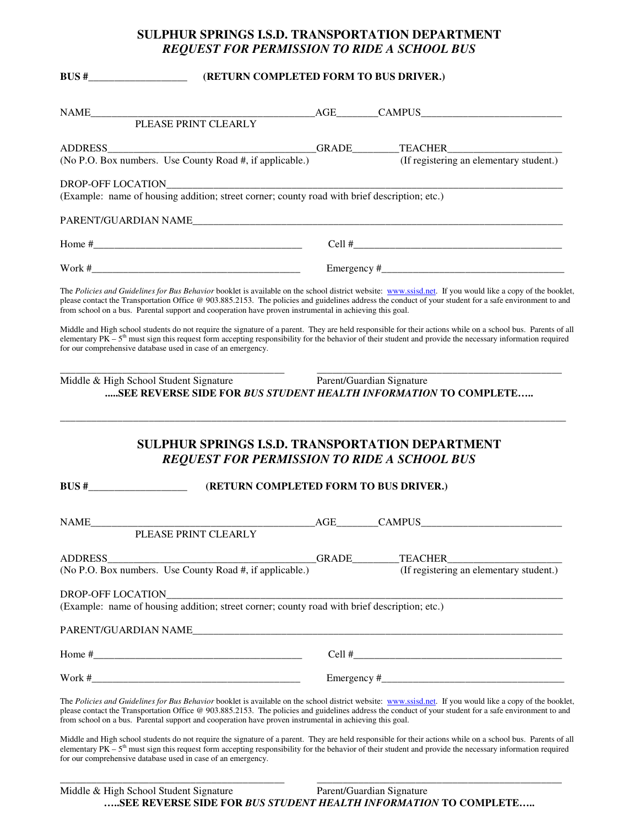## **SULPHUR SPRINGS I.S.D. TRANSPORTATION DEPARTMENT** *REQUEST FOR PERMISSION TO RIDE A SCHOOL BUS*

**BUS #\_\_\_\_\_\_\_\_\_\_\_\_\_\_\_\_\_\_\_ (RETURN COMPLETED FORM TO BUS DRIVER.)**

| PLEASE PRINT CLEARLY<br>ADDRESS<br>(No P.O. Box numbers. Use County Road #, if applicable.) (If registering an elementary student.)<br>SEE REVERSE SIDE FOR BUS STUDENT HEALTH INFORMATION TO COMPLETE<br><b>SULPHUR SPRINGS I.S.D. TRANSPORTATION DEPARTMENT</b><br><b>REQUEST FOR PERMISSION TO RIDE A SCHOOL BUS</b>                                                                                                                                                                                                                                                                                                                                                                                                                                                                                                                                                                                      | (If registering an elementary student.) |
|--------------------------------------------------------------------------------------------------------------------------------------------------------------------------------------------------------------------------------------------------------------------------------------------------------------------------------------------------------------------------------------------------------------------------------------------------------------------------------------------------------------------------------------------------------------------------------------------------------------------------------------------------------------------------------------------------------------------------------------------------------------------------------------------------------------------------------------------------------------------------------------------------------------|-----------------------------------------|
|                                                                                                                                                                                                                                                                                                                                                                                                                                                                                                                                                                                                                                                                                                                                                                                                                                                                                                              |                                         |
|                                                                                                                                                                                                                                                                                                                                                                                                                                                                                                                                                                                                                                                                                                                                                                                                                                                                                                              |                                         |
|                                                                                                                                                                                                                                                                                                                                                                                                                                                                                                                                                                                                                                                                                                                                                                                                                                                                                                              |                                         |
| The Policies and Guidelines for Bus Behavior booklet is available on the school district website: www.ssisd.net. If you would like a copy of the booklet,<br>please contact the Transportation Office @ 903.885.2153. The policies and guidelines address the conduct of your student for a safe environment to and<br>from school on a bus. Parental support and cooperation have proven instrumental in achieving this goal.<br>Middle and High school students do not require the signature of a parent. They are held responsible for their actions while on a school bus. Parents of all<br>elementary $PK - 5$ <sup>th</sup> must sign this request form accepting responsibility for the behavior of their student and provide the necessary information required<br>for our comprehensive database used in case of an emergency.<br>Middle & High School Student Signature Parent/Guardian Signature |                                         |
|                                                                                                                                                                                                                                                                                                                                                                                                                                                                                                                                                                                                                                                                                                                                                                                                                                                                                                              |                                         |
|                                                                                                                                                                                                                                                                                                                                                                                                                                                                                                                                                                                                                                                                                                                                                                                                                                                                                                              |                                         |
|                                                                                                                                                                                                                                                                                                                                                                                                                                                                                                                                                                                                                                                                                                                                                                                                                                                                                                              |                                         |
|                                                                                                                                                                                                                                                                                                                                                                                                                                                                                                                                                                                                                                                                                                                                                                                                                                                                                                              |                                         |
|                                                                                                                                                                                                                                                                                                                                                                                                                                                                                                                                                                                                                                                                                                                                                                                                                                                                                                              |                                         |
|                                                                                                                                                                                                                                                                                                                                                                                                                                                                                                                                                                                                                                                                                                                                                                                                                                                                                                              |                                         |
|                                                                                                                                                                                                                                                                                                                                                                                                                                                                                                                                                                                                                                                                                                                                                                                                                                                                                                              |                                         |
| $BUS$ #<br>(RETURN COMPLETED FORM TO BUS DRIVER.)                                                                                                                                                                                                                                                                                                                                                                                                                                                                                                                                                                                                                                                                                                                                                                                                                                                            |                                         |
|                                                                                                                                                                                                                                                                                                                                                                                                                                                                                                                                                                                                                                                                                                                                                                                                                                                                                                              |                                         |
| <b>NAME</b><br>AGE CAMPUS<br>PLEASE PRINT CLEARLY                                                                                                                                                                                                                                                                                                                                                                                                                                                                                                                                                                                                                                                                                                                                                                                                                                                            |                                         |
|                                                                                                                                                                                                                                                                                                                                                                                                                                                                                                                                                                                                                                                                                                                                                                                                                                                                                                              |                                         |
|                                                                                                                                                                                                                                                                                                                                                                                                                                                                                                                                                                                                                                                                                                                                                                                                                                                                                                              |                                         |
|                                                                                                                                                                                                                                                                                                                                                                                                                                                                                                                                                                                                                                                                                                                                                                                                                                                                                                              |                                         |
| (Example: name of housing addition; street corner; county road with brief description; etc.)                                                                                                                                                                                                                                                                                                                                                                                                                                                                                                                                                                                                                                                                                                                                                                                                                 |                                         |
|                                                                                                                                                                                                                                                                                                                                                                                                                                                                                                                                                                                                                                                                                                                                                                                                                                                                                                              |                                         |
|                                                                                                                                                                                                                                                                                                                                                                                                                                                                                                                                                                                                                                                                                                                                                                                                                                                                                                              |                                         |
|                                                                                                                                                                                                                                                                                                                                                                                                                                                                                                                                                                                                                                                                                                                                                                                                                                                                                                              |                                         |
| ADDRESS<br>GRADE<br><b>TEACHER</b><br>(No P.O. Box numbers. Use County Road #, if applicable.)                                                                                                                                                                                                                                                                                                                                                                                                                                                                                                                                                                                                                                                                                                                                                                                                               | (If registering an elementary student.) |

t the Transportation Office @ 903.885.2153. The policies and guidelines address the conduct of your student for a safe environr from school on a bus. Parental support and cooperation have proven instrumental in achieving this goal.

Middle and High school students do not require the signature of a parent. They are held responsible for their actions while on a school bus. Parents of all elementary  $PK - 5<sup>th</sup>$  must sign this request form accepting responsibility for the behavior of their student and provide the necessary information required for our comprehensive database used in case of an emergency.

\_\_\_\_\_\_\_\_\_\_\_\_\_\_\_\_\_\_\_\_\_\_\_\_\_\_\_\_\_\_\_\_\_\_\_\_\_\_\_\_\_\_\_ \_\_\_\_\_\_\_\_\_\_\_\_\_\_\_\_\_\_\_\_\_\_\_\_\_\_\_\_\_\_\_\_\_\_\_\_\_\_\_\_\_\_\_\_\_\_\_